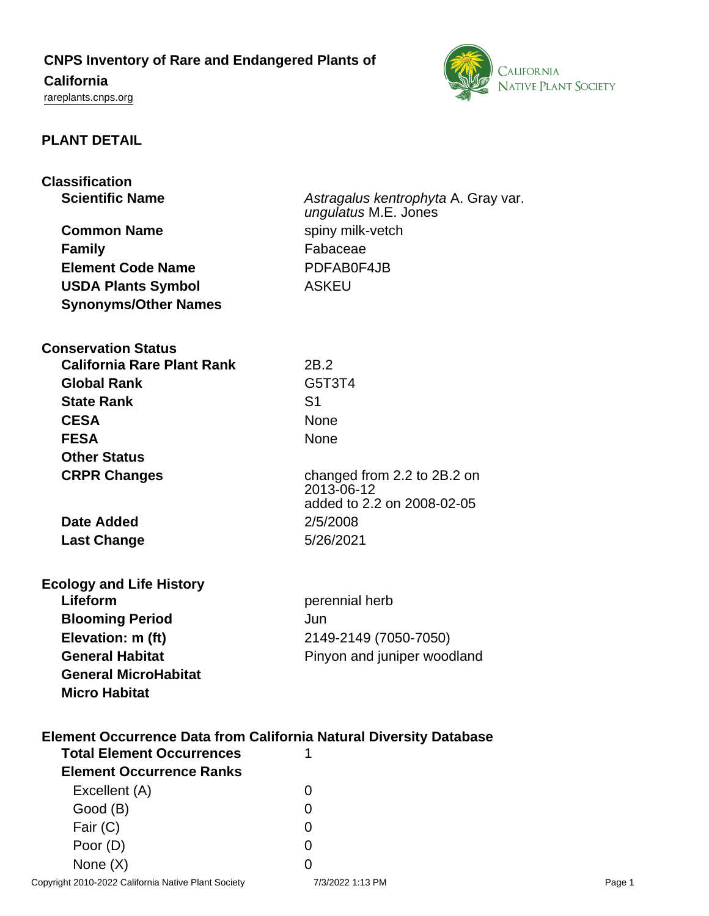## **CNPS Inventory of Rare and Endangered Plants of**

# **California**

<rareplants.cnps.org>



### **PLANT DETAIL**

| <b>Classification</b>                                                     |                                          |  |
|---------------------------------------------------------------------------|------------------------------------------|--|
| <b>Scientific Name</b>                                                    | Astragalus kentrophyta A. Gray var.      |  |
|                                                                           | ungulatus M.E. Jones                     |  |
| <b>Common Name</b>                                                        | spiny milk-vetch                         |  |
| <b>Family</b>                                                             | Fabaceae                                 |  |
| <b>Element Code Name</b>                                                  | PDFAB0F4JB                               |  |
| <b>USDA Plants Symbol</b>                                                 | <b>ASKEU</b>                             |  |
| <b>Synonyms/Other Names</b>                                               |                                          |  |
|                                                                           |                                          |  |
| <b>Conservation Status</b>                                                |                                          |  |
| <b>California Rare Plant Rank</b>                                         | 2B.2                                     |  |
| <b>Global Rank</b>                                                        | G5T3T4                                   |  |
| <b>State Rank</b>                                                         | S <sub>1</sub>                           |  |
|                                                                           |                                          |  |
| <b>CESA</b>                                                               | <b>None</b>                              |  |
| <b>FESA</b>                                                               | None                                     |  |
| <b>Other Status</b>                                                       |                                          |  |
| <b>CRPR Changes</b>                                                       | changed from 2.2 to 2B.2 on              |  |
|                                                                           | 2013-06-12<br>added to 2.2 on 2008-02-05 |  |
| <b>Date Added</b>                                                         | 2/5/2008                                 |  |
|                                                                           | 5/26/2021                                |  |
| <b>Last Change</b>                                                        |                                          |  |
|                                                                           |                                          |  |
| <b>Ecology and Life History</b><br>Lifeform                               |                                          |  |
|                                                                           | perennial herb                           |  |
| <b>Blooming Period</b>                                                    | Jun                                      |  |
| Elevation: m (ft)                                                         | 2149-2149 (7050-7050)                    |  |
| <b>General Habitat</b>                                                    | Pinyon and juniper woodland              |  |
| <b>General MicroHabitat</b>                                               |                                          |  |
| <b>Micro Habitat</b>                                                      |                                          |  |
|                                                                           |                                          |  |
| <b>Element Occurrence Data from California Natural Diversity Database</b> |                                          |  |
| <b>Total Element Occurrences</b>                                          | 1                                        |  |
| <b>Element Occurrence Ranks</b>                                           |                                          |  |
| Excellent (A)                                                             | 0                                        |  |
| Good (B)                                                                  | 0                                        |  |
| Fair (C)                                                                  | 0                                        |  |

Poor (D) 0 None  $(X)$  0